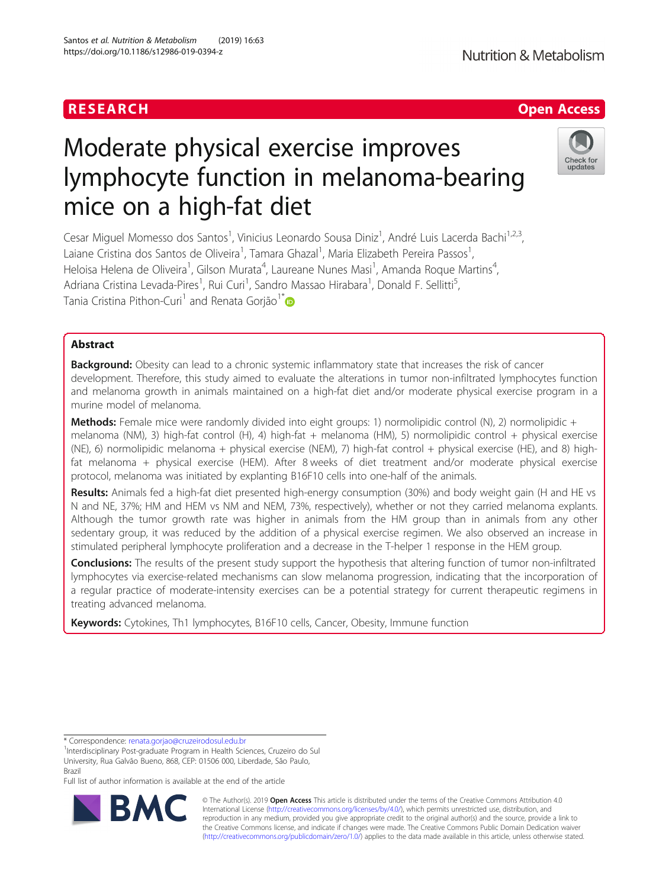# RESEARCH **RESEARCH CHANNEL EXECUTE ACCESS**

# Check for updates

# Moderate physical exercise improves lymphocyte function in melanoma-bearing mice on a high-fat diet

Cesar Miguel Momesso dos Santos<sup>1</sup>, Vinicius Leonardo Sousa Diniz<sup>1</sup>, André Luis Lacerda Bachi<sup>1,2,3</sup>, Laiane Cristina dos Santos de Oliveira<sup>1</sup>, Tamara Ghazal<sup>1</sup>, Maria Elizabeth Pereira Passos<sup>1</sup> , Heloisa Helena de Oliveira<sup>1</sup>, Gilson Murata<sup>4</sup>, Laureane Nunes Masi<sup>1</sup>, Amanda Roque Martins<sup>4</sup> , Adriana Cristina Levada-Pires<sup>1</sup>, Rui Curi<sup>1</sup>, Sandro Massao Hirabara<sup>1</sup>, Donald F. Sellitti<sup>5</sup> , Tania Cristina Pithon-Curi<sup>1</sup> and Renata Gorião<sup>1\*</sup>

# Abstract

Background: Obesity can lead to a chronic systemic inflammatory state that increases the risk of cancer development. Therefore, this study aimed to evaluate the alterations in tumor non-infiltrated lymphocytes function and melanoma growth in animals maintained on a high-fat diet and/or moderate physical exercise program in a murine model of melanoma.

Methods: Female mice were randomly divided into eight groups: 1) normolipidic control (N), 2) normolipidic + melanoma (NM), 3) high-fat control (H), 4) high-fat + melanoma (HM), 5) normolipidic control + physical exercise (NE), 6) normolipidic melanoma + physical exercise (NEM), 7) high-fat control + physical exercise (HE), and 8) highfat melanoma + physical exercise (HEM). After 8 weeks of diet treatment and/or moderate physical exercise protocol, melanoma was initiated by explanting B16F10 cells into one-half of the animals.

Results: Animals fed a high-fat diet presented high-energy consumption (30%) and body weight gain (H and HE vs N and NE, 37%; HM and HEM vs NM and NEM, 73%, respectively), whether or not they carried melanoma explants. Although the tumor growth rate was higher in animals from the HM group than in animals from any other sedentary group, it was reduced by the addition of a physical exercise regimen. We also observed an increase in stimulated peripheral lymphocyte proliferation and a decrease in the T-helper 1 response in the HEM group.

Conclusions: The results of the present study support the hypothesis that altering function of tumor non-infiltrated lymphocytes via exercise-related mechanisms can slow melanoma progression, indicating that the incorporation of a regular practice of moderate-intensity exercises can be a potential strategy for current therapeutic regimens in treating advanced melanoma.

Keywords: Cytokines, Th1 lymphocytes, B16F10 cells, Cancer, Obesity, Immune function

\* Correspondence: [renata.gorjao@cruzeirodosul.edu.br](mailto:renata.gorjao@cruzeirodosul.edu.br) <sup>1</sup>

Full list of author information is available at the end of the article



© The Author(s). 2019 **Open Access** This article is distributed under the terms of the Creative Commons Attribution 4.0 International License [\(http://creativecommons.org/licenses/by/4.0/](http://creativecommons.org/licenses/by/4.0/)), which permits unrestricted use, distribution, and reproduction in any medium, provided you give appropriate credit to the original author(s) and the source, provide a link to the Creative Commons license, and indicate if changes were made. The Creative Commons Public Domain Dedication waiver [\(http://creativecommons.org/publicdomain/zero/1.0/](http://creativecommons.org/publicdomain/zero/1.0/)) applies to the data made available in this article, unless otherwise stated.

<sup>&</sup>lt;sup>1</sup>Interdisciplinary Post-graduate Program in Health Sciences, Cruzeiro do Sul University, Rua Galvão Bueno, 868, CEP: 01506 000, Liberdade, São Paulo, Brazil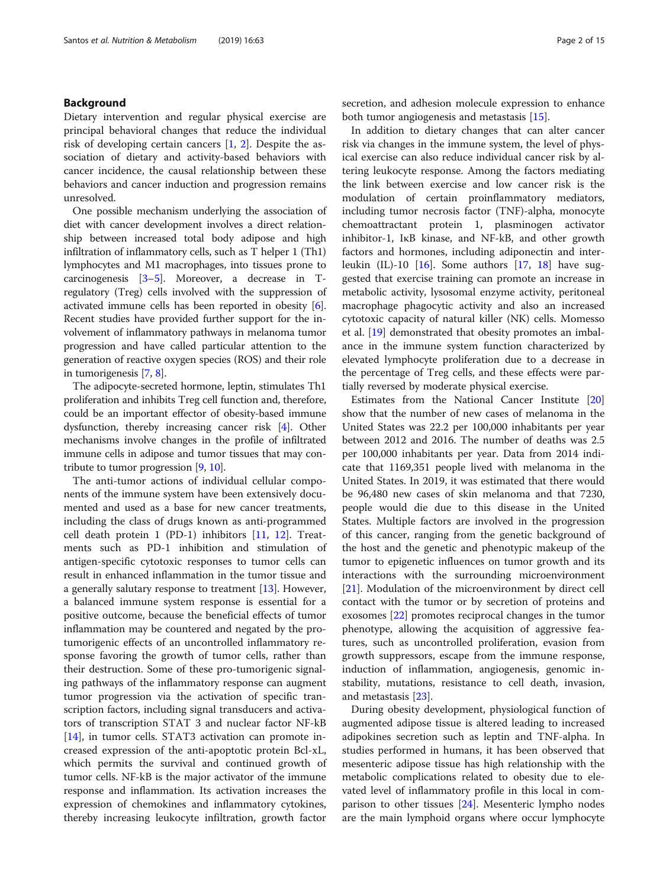# Background

Dietary intervention and regular physical exercise are principal behavioral changes that reduce the individual risk of developing certain cancers [\[1](#page-13-0), [2](#page-13-0)]. Despite the association of dietary and activity-based behaviors with cancer incidence, the causal relationship between these behaviors and cancer induction and progression remains unresolved.

One possible mechanism underlying the association of diet with cancer development involves a direct relationship between increased total body adipose and high infiltration of inflammatory cells, such as T helper 1 (Th1) lymphocytes and M1 macrophages, into tissues prone to carcinogenesis [[3](#page-13-0)–[5](#page-13-0)]. Moreover, a decrease in Tregulatory (Treg) cells involved with the suppression of activated immune cells has been reported in obesity [[6](#page-13-0)]. Recent studies have provided further support for the involvement of inflammatory pathways in melanoma tumor progression and have called particular attention to the generation of reactive oxygen species (ROS) and their role in tumorigenesis [[7,](#page-13-0) [8](#page-13-0)].

The adipocyte-secreted hormone, leptin, stimulates Th1 proliferation and inhibits Treg cell function and, therefore, could be an important effector of obesity-based immune dysfunction, thereby increasing cancer risk [[4](#page-13-0)]. Other mechanisms involve changes in the profile of infiltrated immune cells in adipose and tumor tissues that may contribute to tumor progression [[9,](#page-13-0) [10\]](#page-13-0).

The anti-tumor actions of individual cellular components of the immune system have been extensively documented and used as a base for new cancer treatments, including the class of drugs known as anti-programmed cell death protein 1 (PD-1) inhibitors [[11](#page-13-0), [12](#page-13-0)]. Treatments such as PD-1 inhibition and stimulation of antigen-specific cytotoxic responses to tumor cells can result in enhanced inflammation in the tumor tissue and a generally salutary response to treatment  $[13]$  $[13]$ . However, a balanced immune system response is essential for a positive outcome, because the beneficial effects of tumor inflammation may be countered and negated by the protumorigenic effects of an uncontrolled inflammatory response favoring the growth of tumor cells, rather than their destruction. Some of these pro-tumorigenic signaling pathways of the inflammatory response can augment tumor progression via the activation of specific transcription factors, including signal transducers and activators of transcription STAT 3 and nuclear factor NF-kB [[14\]](#page-13-0), in tumor cells. STAT3 activation can promote increased expression of the anti-apoptotic protein Bcl-xL, which permits the survival and continued growth of tumor cells. NF-kB is the major activator of the immune response and inflammation. Its activation increases the expression of chemokines and inflammatory cytokines, thereby increasing leukocyte infiltration, growth factor

secretion, and adhesion molecule expression to enhance both tumor angiogenesis and metastasis [[15](#page-13-0)].

In addition to dietary changes that can alter cancer risk via changes in the immune system, the level of physical exercise can also reduce individual cancer risk by altering leukocyte response. Among the factors mediating the link between exercise and low cancer risk is the modulation of certain proinflammatory mediators, including tumor necrosis factor (TNF)-alpha, monocyte chemoattractant protein 1, plasminogen activator inhibitor-1, IκB kinase, and NF-kB, and other growth factors and hormones, including adiponectin and inter-leukin (IL)-10 [[16](#page-13-0)]. Some authors  $[17, 18]$  $[17, 18]$  $[17, 18]$  $[17, 18]$  have suggested that exercise training can promote an increase in metabolic activity, lysosomal enzyme activity, peritoneal macrophage phagocytic activity and also an increased cytotoxic capacity of natural killer (NK) cells. Momesso et al. [[19\]](#page-13-0) demonstrated that obesity promotes an imbalance in the immune system function characterized by elevated lymphocyte proliferation due to a decrease in the percentage of Treg cells, and these effects were partially reversed by moderate physical exercise.

Estimates from the National Cancer Institute [[20](#page-13-0)] show that the number of new cases of melanoma in the United States was 22.2 per 100,000 inhabitants per year between 2012 and 2016. The number of deaths was 2.5 per 100,000 inhabitants per year. Data from 2014 indicate that 1169,351 people lived with melanoma in the United States. In 2019, it was estimated that there would be 96,480 new cases of skin melanoma and that 7230, people would die due to this disease in the United States. Multiple factors are involved in the progression of this cancer, ranging from the genetic background of the host and the genetic and phenotypic makeup of the tumor to epigenetic influences on tumor growth and its interactions with the surrounding microenvironment [[21\]](#page-13-0). Modulation of the microenvironment by direct cell contact with the tumor or by secretion of proteins and exosomes [\[22](#page-13-0)] promotes reciprocal changes in the tumor phenotype, allowing the acquisition of aggressive features, such as uncontrolled proliferation, evasion from growth suppressors, escape from the immune response, induction of inflammation, angiogenesis, genomic instability, mutations, resistance to cell death, invasion, and metastasis [\[23](#page-13-0)].

During obesity development, physiological function of augmented adipose tissue is altered leading to increased adipokines secretion such as leptin and TNF-alpha. In studies performed in humans, it has been observed that mesenteric adipose tissue has high relationship with the metabolic complications related to obesity due to elevated level of inflammatory profile in this local in comparison to other tissues [\[24\]](#page-13-0). Mesenteric lympho nodes are the main lymphoid organs where occur lymphocyte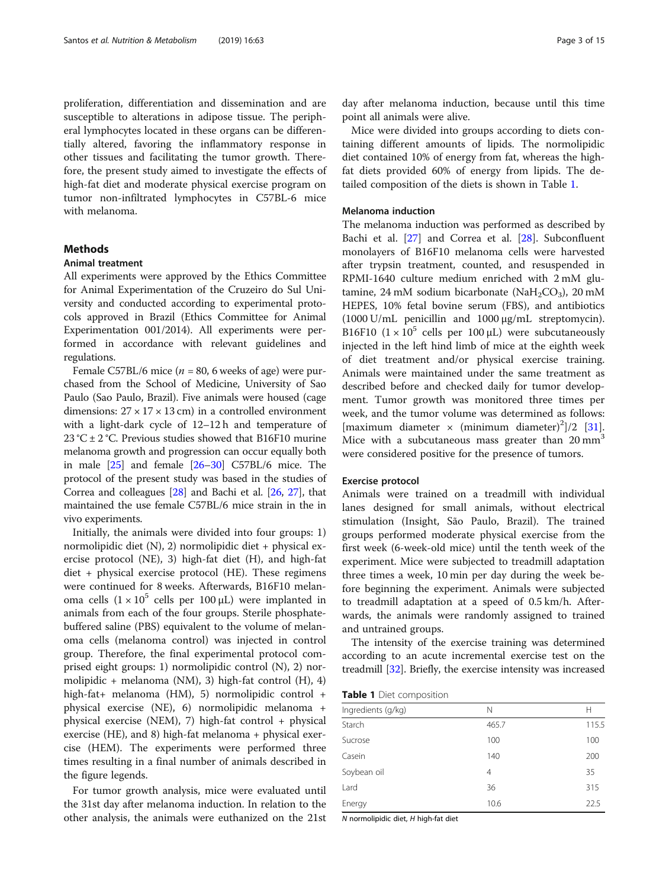<span id="page-2-0"></span>proliferation, differentiation and dissemination and are susceptible to alterations in adipose tissue. The peripheral lymphocytes located in these organs can be differentially altered, favoring the inflammatory response in other tissues and facilitating the tumor growth. Therefore, the present study aimed to investigate the effects of high-fat diet and moderate physical exercise program on tumor non-infiltrated lymphocytes in C57BL-6 mice with melanoma.

# Methods

# Animal treatment

All experiments were approved by the Ethics Committee for Animal Experimentation of the Cruzeiro do Sul University and conducted according to experimental protocols approved in Brazil (Ethics Committee for Animal Experimentation 001/2014). All experiments were performed in accordance with relevant guidelines and regulations.

Female C57BL/6 mice ( $n = 80$ , 6 weeks of age) were purchased from the School of Medicine, University of Sao Paulo (Sao Paulo, Brazil). Five animals were housed (cage dimensions:  $27 \times 17 \times 13$  cm) in a controlled environment with a light-dark cycle of 12–12 h and temperature of 23 °C  $\pm$  2 °C. Previous studies showed that B16F10 murine melanoma growth and progression can occur equally both in male [\[25\]](#page-13-0) and female [\[26](#page-13-0)–[30](#page-14-0)] C57BL/6 mice. The protocol of the present study was based in the studies of Correa and colleagues [[28](#page-13-0)] and Bachi et al. [[26,](#page-13-0) [27\]](#page-13-0), that maintained the use female C57BL/6 mice strain in the in vivo experiments.

Initially, the animals were divided into four groups: 1) normolipidic diet (N), 2) normolipidic diet + physical exercise protocol (NE), 3) high-fat diet (H), and high-fat diet + physical exercise protocol (HE). These regimens were continued for 8 weeks. Afterwards, B16F10 melanoma cells  $(1 \times 10^5$  cells per 100 μL) were implanted in animals from each of the four groups. Sterile phosphatebuffered saline (PBS) equivalent to the volume of melanoma cells (melanoma control) was injected in control group. Therefore, the final experimental protocol comprised eight groups: 1) normolipidic control (N), 2) normolipidic + melanoma (NM), 3) high-fat control (H), 4) high-fat+ melanoma (HM), 5) normolipidic control + physical exercise (NE), 6) normolipidic melanoma + physical exercise (NEM), 7) high-fat control + physical exercise (HE), and 8) high-fat melanoma + physical exercise (HEM). The experiments were performed three times resulting in a final number of animals described in the figure legends.

For tumor growth analysis, mice were evaluated until the 31st day after melanoma induction. In relation to the other analysis, the animals were euthanized on the 21st day after melanoma induction, because until this time point all animals were alive.

Mice were divided into groups according to diets containing different amounts of lipids. The normolipidic diet contained 10% of energy from fat, whereas the highfat diets provided 60% of energy from lipids. The detailed composition of the diets is shown in Table 1.

# Melanoma induction

The melanoma induction was performed as described by Bachi et al. [[27](#page-13-0)] and Correa et al. [\[28](#page-13-0)]. Subconfluent monolayers of B16F10 melanoma cells were harvested after trypsin treatment, counted, and resuspended in RPMI-1640 culture medium enriched with 2 mM glutamine, 24 mM sodium bicarbonate (NaH<sub>2</sub>CO<sub>3</sub>), 20 mM HEPES, 10% fetal bovine serum (FBS), and antibiotics (1000 U/mL penicillin and 1000 μg/mL streptomycin). B16F10  $(1 \times 10^5$  cells per 100 μL) were subcutaneously injected in the left hind limb of mice at the eighth week of diet treatment and/or physical exercise training. Animals were maintained under the same treatment as described before and checked daily for tumor development. Tumor growth was monitored three times per week, and the tumor volume was determined as follows:  $[\text{maximum diameter} \times (\text{minimum diameter})^2]/2$  [\[31](#page-14-0)]. Mice with a subcutaneous mass greater than  $20 \text{ mm}^3$ were considered positive for the presence of tumors.

# Exercise protocol

Animals were trained on a treadmill with individual lanes designed for small animals, without electrical stimulation (Insight, São Paulo, Brazil). The trained groups performed moderate physical exercise from the first week (6-week-old mice) until the tenth week of the experiment. Mice were subjected to treadmill adaptation three times a week, 10 min per day during the week before beginning the experiment. Animals were subjected to treadmill adaptation at a speed of 0.5 km/h. Afterwards, the animals were randomly assigned to trained and untrained groups.

The intensity of the exercise training was determined according to an acute incremental exercise test on the treadmill [[32](#page-14-0)]. Briefly, the exercise intensity was increased

|  |  | Table 1 Diet composition |
|--|--|--------------------------|
|--|--|--------------------------|

| Ingredients (g/kg) | Ν     | Н     |  |  |
|--------------------|-------|-------|--|--|
| Starch             | 465.7 | 115.5 |  |  |
| Sucrose            | 100   | 100   |  |  |
| Casein             | 140   | 200   |  |  |
| Soybean oil        | 4     | 35    |  |  |
| Lard               | 36    | 315   |  |  |
| Energy             | 10.6  | 22.5  |  |  |

N normolipidic diet, H high-fat diet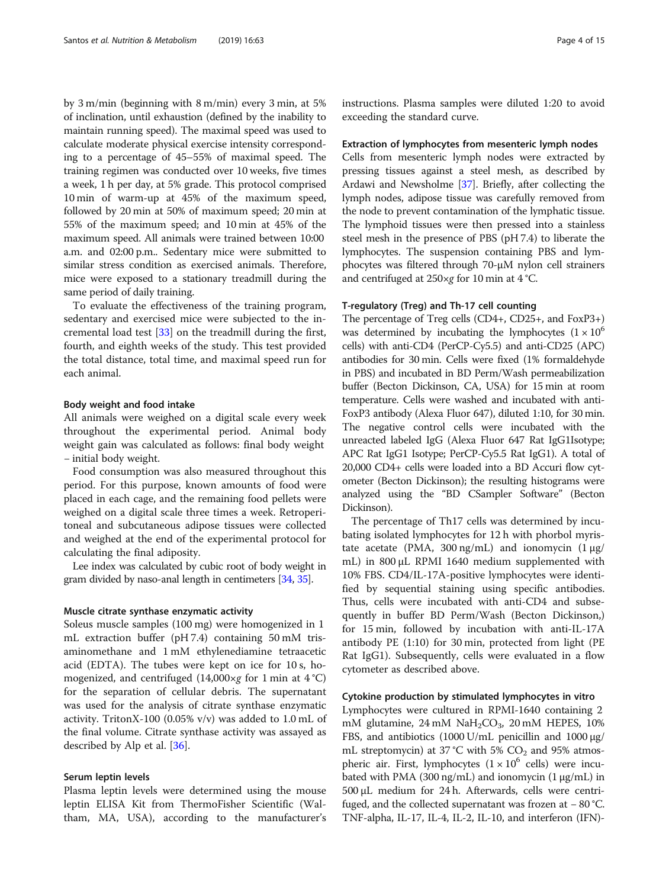by 3 m/min (beginning with 8 m/min) every 3 min, at 5% of inclination, until exhaustion (defined by the inability to maintain running speed). The maximal speed was used to calculate moderate physical exercise intensity corresponding to a percentage of 45–55% of maximal speed. The training regimen was conducted over 10 weeks, five times a week, 1 h per day, at 5% grade. This protocol comprised 10 min of warm-up at 45% of the maximum speed, followed by 20 min at 50% of maximum speed; 20 min at 55% of the maximum speed; and 10 min at 45% of the maximum speed. All animals were trained between 10:00 a.m. and 02:00 p.m.. Sedentary mice were submitted to similar stress condition as exercised animals. Therefore, mice were exposed to a stationary treadmill during the same period of daily training.

To evaluate the effectiveness of the training program, sedentary and exercised mice were subjected to the incremental load test [\[33](#page-14-0)] on the treadmill during the first, fourth, and eighth weeks of the study. This test provided the total distance, total time, and maximal speed run for each animal.

# Body weight and food intake

All animals were weighed on a digital scale every week throughout the experimental period. Animal body weight gain was calculated as follows: final body weight − initial body weight.

Food consumption was also measured throughout this period. For this purpose, known amounts of food were placed in each cage, and the remaining food pellets were weighed on a digital scale three times a week. Retroperitoneal and subcutaneous adipose tissues were collected and weighed at the end of the experimental protocol for calculating the final adiposity.

Lee index was calculated by cubic root of body weight in gram divided by naso-anal length in centimeters [[34](#page-14-0), [35](#page-14-0)].

# Muscle citrate synthase enzymatic activity

Soleus muscle samples (100 mg) were homogenized in 1 mL extraction buffer (pH 7.4) containing 50 mM trisaminomethane and 1 mM ethylenediamine tetraacetic acid (EDTA). The tubes were kept on ice for 10 s, homogenized, and centrifuged  $(14,000 \times g$  for 1 min at 4 °C) for the separation of cellular debris. The supernatant was used for the analysis of citrate synthase enzymatic activity. TritonX-100 (0.05% v/v) was added to 1.0 mL of the final volume. Citrate synthase activity was assayed as described by Alp et al. [\[36](#page-14-0)].

# Serum leptin levels

Plasma leptin levels were determined using the mouse leptin ELISA Kit from ThermoFisher Scientific (Waltham, MA, USA), according to the manufacturer's instructions. Plasma samples were diluted 1:20 to avoid exceeding the standard curve.

# Extraction of lymphocytes from mesenteric lymph nodes

Cells from mesenteric lymph nodes were extracted by pressing tissues against a steel mesh, as described by Ardawi and Newsholme [\[37\]](#page-14-0). Briefly, after collecting the lymph nodes, adipose tissue was carefully removed from the node to prevent contamination of the lymphatic tissue. The lymphoid tissues were then pressed into a stainless steel mesh in the presence of PBS (pH 7.4) to liberate the lymphocytes. The suspension containing PBS and lymphocytes was filtered through 70-μM nylon cell strainers and centrifuged at 250×g for 10 min at 4 °C.

# T-regulatory (Treg) and Th-17 cell counting

The percentage of Treg cells (CD4+, CD25+, and FoxP3+) was determined by incubating the lymphocytes  $(1 \times 10^6)$ cells) with anti-CD4 (PerCP-Cy5.5) and anti-CD25 (APC) antibodies for 30 min. Cells were fixed (1% formaldehyde in PBS) and incubated in BD Perm/Wash permeabilization buffer (Becton Dickinson, CA, USA) for 15 min at room temperature. Cells were washed and incubated with anti-FoxP3 antibody (Alexa Fluor 647), diluted 1:10, for 30 min. The negative control cells were incubated with the unreacted labeled IgG (Alexa Fluor 647 Rat IgG1Isotype; APC Rat IgG1 Isotype; PerCP-Cy5.5 Rat IgG1). A total of 20,000 CD4+ cells were loaded into a BD Accuri flow cytometer (Becton Dickinson); the resulting histograms were analyzed using the "BD CSampler Software" (Becton Dickinson).

The percentage of Th17 cells was determined by incubating isolated lymphocytes for 12 h with phorbol myristate acetate (PMA, 300 ng/mL) and ionomycin  $(1 \mu g)$ mL) in 800 μL RPMI 1640 medium supplemented with 10% FBS. CD4/IL-17A-positive lymphocytes were identified by sequential staining using specific antibodies. Thus, cells were incubated with anti-CD4 and subsequently in buffer BD Perm/Wash (Becton Dickinson,) for 15 min, followed by incubation with anti-IL-17A antibody PE (1:10) for 30 min, protected from light (PE Rat IgG1). Subsequently, cells were evaluated in a flow cytometer as described above.

# Cytokine production by stimulated lymphocytes in vitro

Lymphocytes were cultured in RPMI-1640 containing 2 mM glutamine,  $24 \text{ mM } \text{NaH}_2\text{CO}_3$ ,  $20 \text{ mM } \text{HEPES}$ ,  $10\%$ FBS, and antibiotics (1000 U/mL penicillin and 1000 μg/ mL streptomycin) at 37 °C with 5%  $CO<sub>2</sub>$  and 95% atmospheric air. First, lymphocytes  $(1 \times 10^6 \text{ cells})$  were incubated with PMA (300 ng/mL) and ionomycin (1 μg/mL) in 500 μL medium for 24 h. Afterwards, cells were centrifuged, and the collected supernatant was frozen at − 80 °C. TNF-alpha, IL-17, IL-4, IL-2, IL-10, and interferon (IFN)-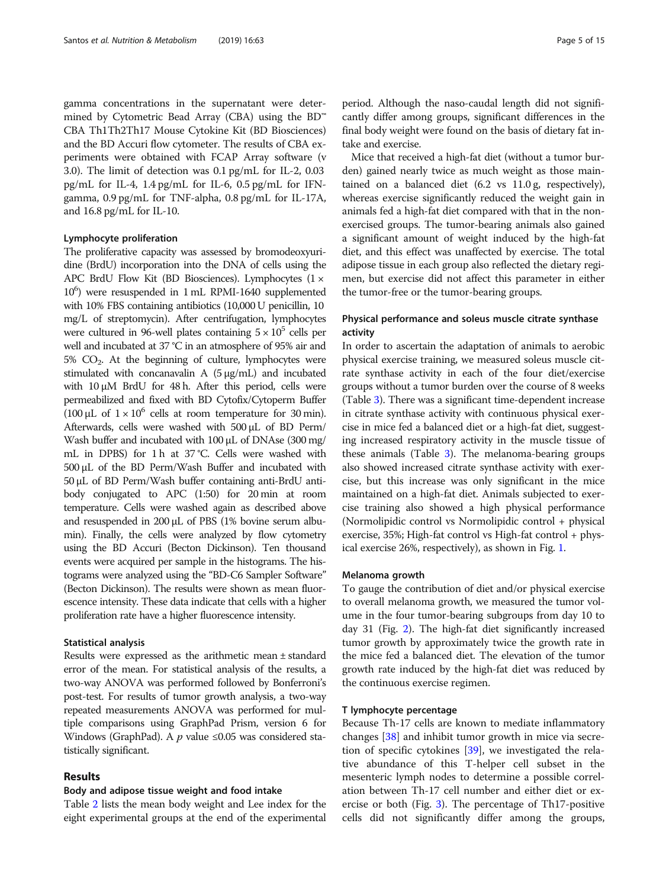gamma concentrations in the supernatant were determined by Cytometric Bead Array (CBA) using the BD™ CBA Th1Th2Th17 Mouse Cytokine Kit (BD Biosciences) and the BD Accuri flow cytometer. The results of CBA experiments were obtained with FCAP Array software (v 3.0). The limit of detection was 0.1 pg/mL for IL-2, 0.03 pg/mL for IL-4, 1.4 pg/mL for IL-6, 0.5 pg/mL for IFNgamma, 0.9 pg/mL for TNF-alpha, 0.8 pg/mL for IL-17A, and 16.8 pg/mL for IL-10.

# Lymphocyte proliferation

The proliferative capacity was assessed by bromodeoxyuridine (BrdU) incorporation into the DNA of cells using the APC BrdU Flow Kit (BD Biosciences). Lymphocytes (1 × 106 ) were resuspended in 1 mL RPMI-1640 supplemented with 10% FBS containing antibiotics (10,000 U penicillin, 10 mg/L of streptomycin). After centrifugation, lymphocytes were cultured in 96-well plates containing  $5 \times 10^5$  cells per well and incubated at 37 °C in an atmosphere of 95% air and  $5\%$  CO<sub>2</sub>. At the beginning of culture, lymphocytes were stimulated with concanavalin A (5 μg/mL) and incubated with  $10 \mu M$  BrdU for  $48 h$ . After this period, cells were permeabilized and fixed with BD Cytofix/Cytoperm Buffer (100 μL of  $1 \times 10^6$  cells at room temperature for 30 min). Afterwards, cells were washed with 500 μL of BD Perm/ Wash buffer and incubated with 100 μL of DNAse (300 mg/ mL in DPBS) for 1 h at 37 °C. Cells were washed with 500 μL of the BD Perm/Wash Buffer and incubated with 50 μL of BD Perm/Wash buffer containing anti-BrdU antibody conjugated to APC (1:50) for 20 min at room temperature. Cells were washed again as described above and resuspended in 200 μL of PBS (1% bovine serum albumin). Finally, the cells were analyzed by flow cytometry using the BD Accuri (Becton Dickinson). Ten thousand events were acquired per sample in the histograms. The histograms were analyzed using the "BD-C6 Sampler Software" (Becton Dickinson). The results were shown as mean fluorescence intensity. These data indicate that cells with a higher proliferation rate have a higher fluorescence intensity.

# Statistical analysis

Results were expressed as the arithmetic mean ± standard error of the mean. For statistical analysis of the results, a two-way ANOVA was performed followed by Bonferroni's post-test. For results of tumor growth analysis, a two-way repeated measurements ANOVA was performed for multiple comparisons using GraphPad Prism, version 6 for Windows (GraphPad). A  *value ≤0.05 was considered sta*tistically significant.

# Results

# Body and adipose tissue weight and food intake

Table [2](#page-5-0) lists the mean body weight and Lee index for the eight experimental groups at the end of the experimental

period. Although the naso-caudal length did not significantly differ among groups, significant differences in the final body weight were found on the basis of dietary fat intake and exercise.

Mice that received a high-fat diet (without a tumor burden) gained nearly twice as much weight as those maintained on a balanced diet (6.2 vs 11.0 g, respectively), whereas exercise significantly reduced the weight gain in animals fed a high-fat diet compared with that in the nonexercised groups. The tumor-bearing animals also gained a significant amount of weight induced by the high-fat diet, and this effect was unaffected by exercise. The total adipose tissue in each group also reflected the dietary regimen, but exercise did not affect this parameter in either the tumor-free or the tumor-bearing groups.

# Physical performance and soleus muscle citrate synthase activity

In order to ascertain the adaptation of animals to aerobic physical exercise training, we measured soleus muscle citrate synthase activity in each of the four diet/exercise groups without a tumor burden over the course of 8 weeks (Table [3\)](#page-5-0). There was a significant time-dependent increase in citrate synthase activity with continuous physical exercise in mice fed a balanced diet or a high-fat diet, suggesting increased respiratory activity in the muscle tissue of these animals (Table [3\)](#page-5-0). The melanoma-bearing groups also showed increased citrate synthase activity with exercise, but this increase was only significant in the mice maintained on a high-fat diet. Animals subjected to exercise training also showed a high physical performance (Normolipidic control vs Normolipidic control + physical exercise, 35%; High-fat control vs High-fat control + physical exercise 26%, respectively), as shown in Fig. [1.](#page-6-0)

# Melanoma growth

To gauge the contribution of diet and/or physical exercise to overall melanoma growth, we measured the tumor volume in the four tumor-bearing subgroups from day 10 to day 31 (Fig. [2\)](#page-6-0). The high-fat diet significantly increased tumor growth by approximately twice the growth rate in the mice fed a balanced diet. The elevation of the tumor growth rate induced by the high-fat diet was reduced by the continuous exercise regimen.

# T lymphocyte percentage

Because Th-17 cells are known to mediate inflammatory changes [\[38](#page-14-0)] and inhibit tumor growth in mice via secretion of specific cytokines [\[39](#page-14-0)], we investigated the relative abundance of this T-helper cell subset in the mesenteric lymph nodes to determine a possible correlation between Th-17 cell number and either diet or exercise or both (Fig. [3](#page-7-0)). The percentage of Th17-positive cells did not significantly differ among the groups,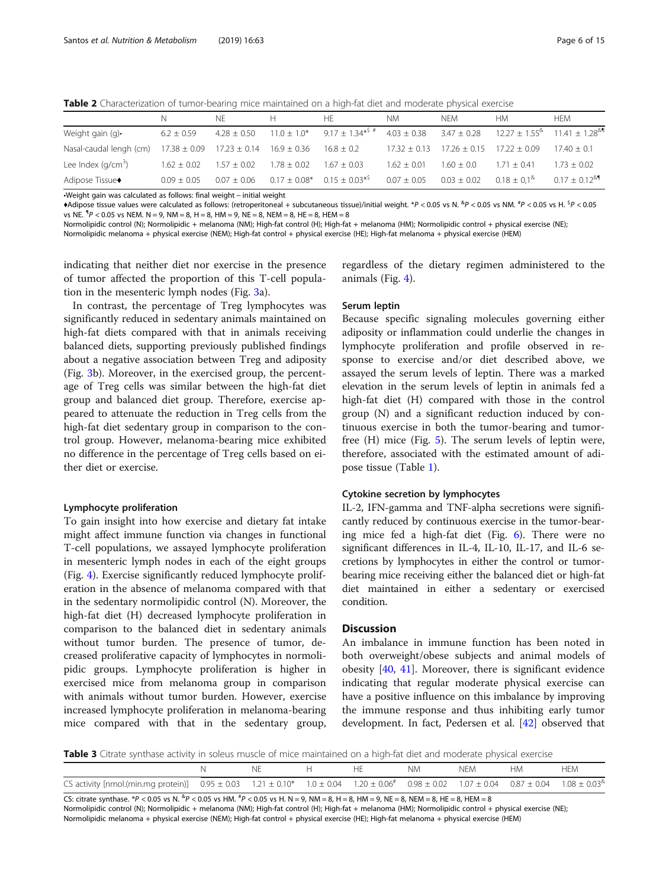<span id="page-5-0"></span>Table 2 Characterization of tumor-bearing mice maintained on a high-fat diet and moderate physical exercise

|                                                                                          |                 | NF.                             | H.              | HF.                                                                                                                                     | NM.           | NFM.                                               | HМ          | <b>HFM</b>    |
|------------------------------------------------------------------------------------------|-----------------|---------------------------------|-----------------|-----------------------------------------------------------------------------------------------------------------------------------------|---------------|----------------------------------------------------|-------------|---------------|
| Weight gain (g).                                                                         | $6.2 \pm 0.59$  |                                 |                 | $4.28 \pm 0.50$ $11.0 \pm 1.0^*$ $9.17 \pm 1.34^{*5}$ $4.03 \pm 0.38$ $3.47 \pm 0.28$ $12.27 \pm 1.55^{\circ}$ $11.41 \pm 1.28^{\circ}$ |               |                                                    |             |               |
| Nasal-caudal lengh (cm) $17.38 \pm 0.09$ $17.23 \pm 0.14$ $16.9 \pm 0.36$ $16.8 \pm 0.2$ |                 |                                 |                 |                                                                                                                                         |               | $17.32 \pm 0.13$ $17.26 \pm 0.15$ $17.22 \pm 0.09$ |             | $17.40 + 0.1$ |
| Lee Index ( $q/cm^3$ )                                                                   |                 | $1.62 \pm 0.02$ $1.57 \pm 0.02$ | $1.78 \pm 0.02$ | $1.67 \pm 0.03$                                                                                                                         | $1.62 + 0.01$ | $1.60 + 0.0$                                       | $171 + 041$ | $1.73 + 0.02$ |
| Adipose Tissue <sup>+</sup>                                                              | $0.09 \pm 0.05$ | $0.07 + 0.06$                   |                 | $0.17 \pm 0.08^*$ $0.15 \pm 0.03^{*5}$ $0.07 \pm 0.05$ $0.03 \pm 0.02$ $0.18 \pm 0.1^8$ $0.17 \pm 0.12^{84}$                            |               |                                                    |             |               |

•Weight gain was calculated as follows: final weight − initial weight

 $\blacklozenge$ Adipose tissue values were calculated as follows: (retroperitoneal + subcutaneous tissue)/initial weight.  $*P < 0.05$  vs N.  $*P < 0.05$  vs NM.  $*P < 0.05$  vs NM.  $*P < 0.05$ vs NE.  ${}^{\P}P$  < 0.05 vs NEM. N = 9, NM = 8, H = 8, HM = 9, NE = 8, NEM = 8, HE = 8, HEM = 8

Normolipidic control (N); Normolipidic + melanoma (NM); High-fat control (H); High-fat + melanoma (HM); Normolipidic control + physical exercise (NE);

Normolipidic melanoma + physical exercise (NEM); High-fat control + physical exercise (HE); High-fat melanoma + physical exercise (HEM)

indicating that neither diet nor exercise in the presence of tumor affected the proportion of this T-cell population in the mesenteric lymph nodes (Fig. [3a](#page-7-0)).

In contrast, the percentage of Treg lymphocytes was significantly reduced in sedentary animals maintained on high-fat diets compared with that in animals receiving balanced diets, supporting previously published findings about a negative association between Treg and adiposity (Fig. [3b](#page-7-0)). Moreover, in the exercised group, the percentage of Treg cells was similar between the high-fat diet group and balanced diet group. Therefore, exercise appeared to attenuate the reduction in Treg cells from the high-fat diet sedentary group in comparison to the control group. However, melanoma-bearing mice exhibited no difference in the percentage of Treg cells based on either diet or exercise.

# Lymphocyte proliferation

To gain insight into how exercise and dietary fat intake might affect immune function via changes in functional T-cell populations, we assayed lymphocyte proliferation in mesenteric lymph nodes in each of the eight groups (Fig. [4](#page-8-0)). Exercise significantly reduced lymphocyte proliferation in the absence of melanoma compared with that in the sedentary normolipidic control (N). Moreover, the high-fat diet (H) decreased lymphocyte proliferation in comparison to the balanced diet in sedentary animals without tumor burden. The presence of tumor, decreased proliferative capacity of lymphocytes in normolipidic groups. Lymphocyte proliferation is higher in exercised mice from melanoma group in comparison with animals without tumor burden. However, exercise increased lymphocyte proliferation in melanoma-bearing mice compared with that in the sedentary group,

regardless of the dietary regimen administered to the animals (Fig. [4](#page-8-0)).

# Serum leptin

Because specific signaling molecules governing either adiposity or inflammation could underlie the changes in lymphocyte proliferation and profile observed in response to exercise and/or diet described above, we assayed the serum levels of leptin. There was a marked elevation in the serum levels of leptin in animals fed a high-fat diet (H) compared with those in the control group (N) and a significant reduction induced by continuous exercise in both the tumor-bearing and tumorfree (H) mice (Fig. [5](#page-8-0)). The serum levels of leptin were, therefore, associated with the estimated amount of adipose tissue (Table [1](#page-2-0)).

# Cytokine secretion by lymphocytes

IL-2, IFN-gamma and TNF-alpha secretions were significantly reduced by continuous exercise in the tumor-bearing mice fed a high-fat diet (Fig. [6](#page-9-0)). There were no significant differences in IL-4, IL-10, IL-17, and IL-6 secretions by lymphocytes in either the control or tumorbearing mice receiving either the balanced diet or high-fat diet maintained in either a sedentary or exercised condition.

# **Discussion**

An imbalance in immune function has been noted in both overweight/obese subjects and animal models of obesity [\[40](#page-14-0), [41](#page-14-0)]. Moreover, there is significant evidence indicating that regular moderate physical exercise can have a positive influence on this imbalance by improving the immune response and thus inhibiting early tumor development. In fact, Pedersen et al. [\[42](#page-14-0)] observed that

Table 3 Citrate synthase activity in soleus muscle of mice maintained on a high-fat diet and moderate physical exercise

|                                                                                                                                                                          |  |  | NΜ | <b>NFM</b> | <b>HFM</b> |
|--------------------------------------------------------------------------------------------------------------------------------------------------------------------------|--|--|----|------------|------------|
| CS activity [nmol.(min.mg protein)] $0.95 \pm 0.03$ $1.21 \pm 0.10^*$ $1.0 \pm 0.04$ $1.20 \pm 0.06^*$ $0.98 \pm 0.02$ $1.07 \pm 0.04$ $0.87 \pm 0.04$ $1.08 \pm 0.03^8$ |  |  |    |            |            |

CS: citrate synthase. \*P < 0.05 vs N.  ${}^{8}P$  < 0.05 vs HM.  ${}^{4}P$  < 0.05 vs H. N = 9, NM = 8, H = 8, HK = 8, NEM = 8, HEM = 8, HEM = 8 Normolipidic control (N); Normolipidic + melanoma (NM); High-fat control (H); High-fat + melanoma (HM); Normolipidic control + physical exercise (NE); Normolipidic melanoma + physical exercise (NEM); High-fat control + physical exercise (HE); High-fat melanoma + physical exercise (HEM)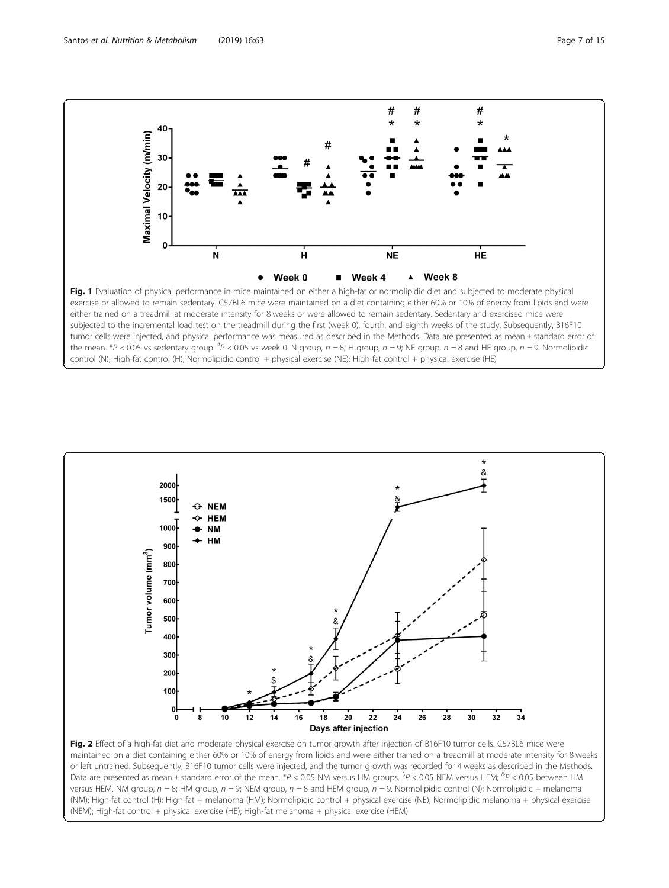<span id="page-6-0"></span>

control (N); High-fat control (H); Normolipidic control + physical exercise (NE); High-fat control + physical exercise (HE)



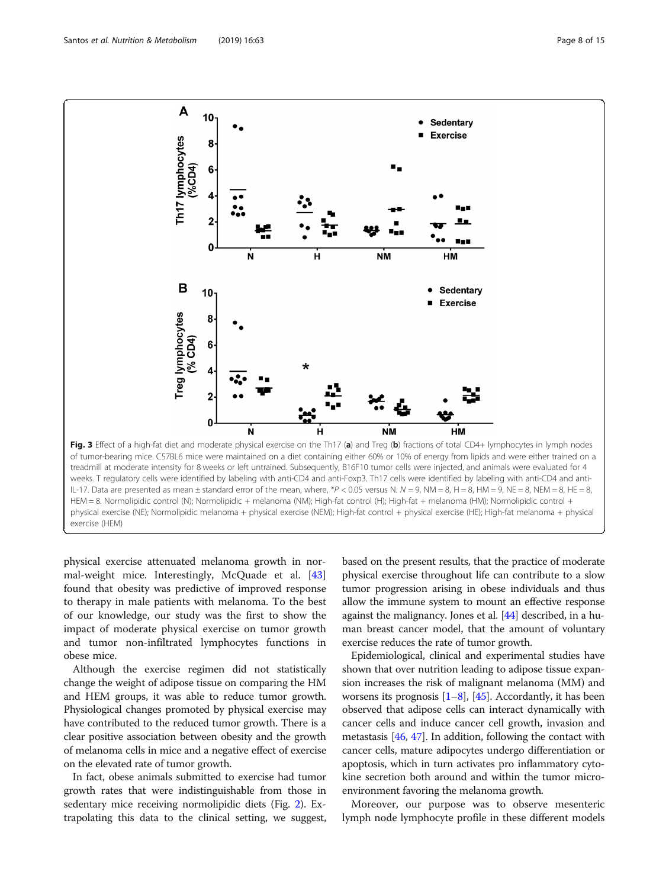<span id="page-7-0"></span>

physical exercise attenuated melanoma growth in normal-weight mice. Interestingly, McQuade et al. [[43](#page-14-0)] found that obesity was predictive of improved response to therapy in male patients with melanoma. To the best of our knowledge, our study was the first to show the impact of moderate physical exercise on tumor growth and tumor non-infiltrated lymphocytes functions in obese mice.

Although the exercise regimen did not statistically change the weight of adipose tissue on comparing the HM and HEM groups, it was able to reduce tumor growth. Physiological changes promoted by physical exercise may have contributed to the reduced tumor growth. There is a clear positive association between obesity and the growth of melanoma cells in mice and a negative effect of exercise on the elevated rate of tumor growth.

In fact, obese animals submitted to exercise had tumor growth rates that were indistinguishable from those in sedentary mice receiving normolipidic diets (Fig. [2](#page-6-0)). Extrapolating this data to the clinical setting, we suggest, based on the present results, that the practice of moderate physical exercise throughout life can contribute to a slow tumor progression arising in obese individuals and thus allow the immune system to mount an effective response against the malignancy. Jones et al. [\[44\]](#page-14-0) described, in a human breast cancer model, that the amount of voluntary exercise reduces the rate of tumor growth.

Epidemiological, clinical and experimental studies have shown that over nutrition leading to adipose tissue expansion increases the risk of malignant melanoma (MM) and worsens its prognosis  $[1-8]$  $[1-8]$  $[1-8]$  $[1-8]$  $[1-8]$ ,  $[45]$  $[45]$ . Accordantly, it has been observed that adipose cells can interact dynamically with cancer cells and induce cancer cell growth, invasion and metastasis [\[46](#page-14-0), [47\]](#page-14-0). In addition, following the contact with cancer cells, mature adipocytes undergo differentiation or apoptosis, which in turn activates pro inflammatory cytokine secretion both around and within the tumor microenvironment favoring the melanoma growth.

Moreover, our purpose was to observe mesenteric lymph node lymphocyte profile in these different models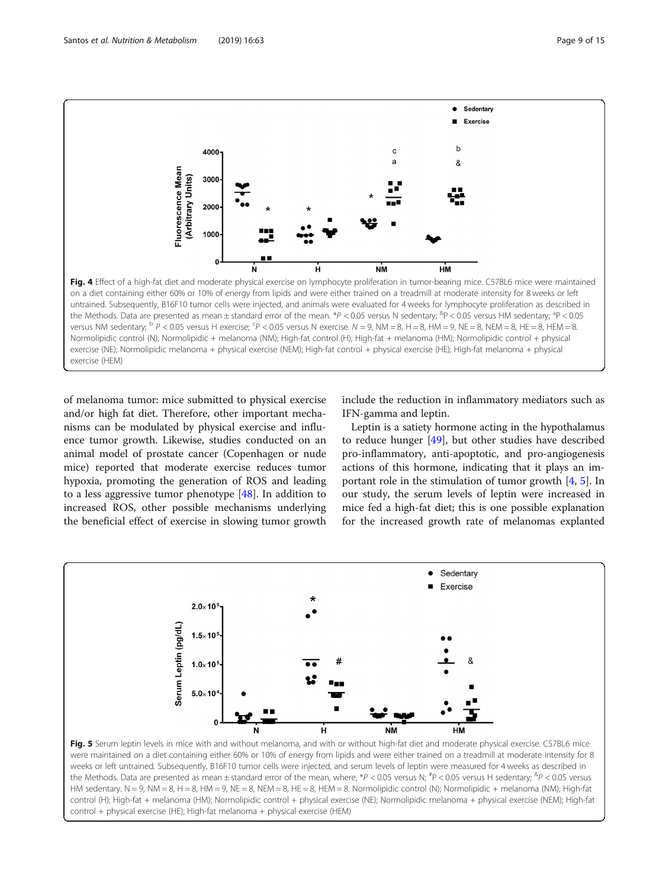<span id="page-8-0"></span>

of melanoma tumor: mice submitted to physical exercise and/or high fat diet. Therefore, other important mechanisms can be modulated by physical exercise and influence tumor growth. Likewise, studies conducted on an animal model of prostate cancer (Copenhagen or nude mice) reported that moderate exercise reduces tumor hypoxia, promoting the generation of ROS and leading to a less aggressive tumor phenotype [\[48](#page-14-0)]. In addition to increased ROS, other possible mechanisms underlying the beneficial effect of exercise in slowing tumor growth

exercise (HEM)

include the reduction in inflammatory mediators such as IFN-gamma and leptin.

Leptin is a satiety hormone acting in the hypothalamus to reduce hunger [[49\]](#page-14-0), but other studies have described pro-inflammatory, anti-apoptotic, and pro-angiogenesis actions of this hormone, indicating that it plays an important role in the stimulation of tumor growth  $[4, 5]$  $[4, 5]$  $[4, 5]$  $[4, 5]$ . In our study, the serum levels of leptin were increased in mice fed a high-fat diet; this is one possible explanation for the increased growth rate of melanomas explanted



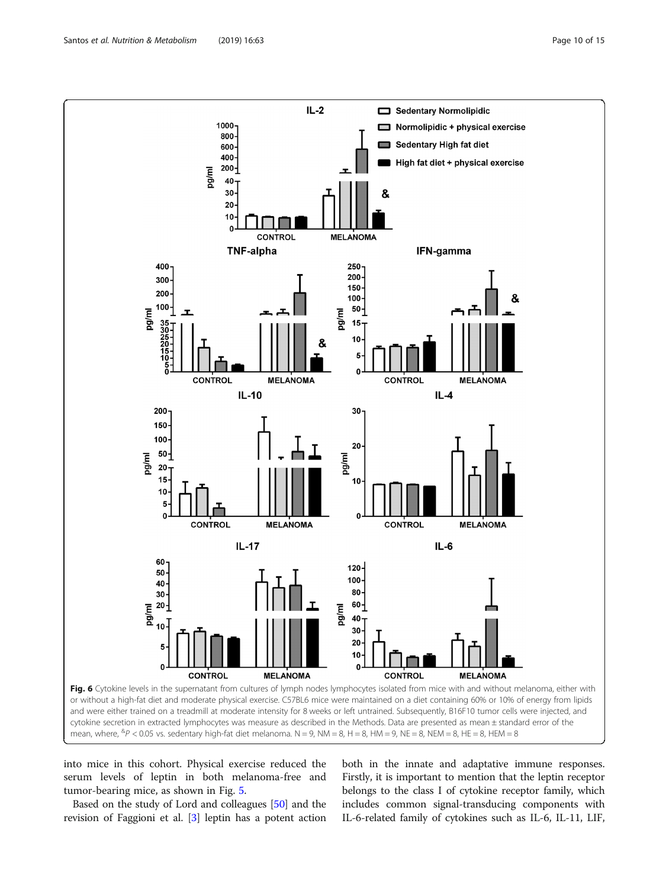<span id="page-9-0"></span>

into mice in this cohort. Physical exercise reduced the serum levels of leptin in both melanoma-free and tumor-bearing mice, as shown in Fig. [5](#page-8-0).

Based on the study of Lord and colleagues [[50](#page-14-0)] and the revision of Faggioni et al. [\[3](#page-13-0)] leptin has a potent action both in the innate and adaptative immune responses. Firstly, it is important to mention that the leptin receptor belongs to the class I of cytokine receptor family, which includes common signal-transducing components with IL-6-related family of cytokines such as IL-6, IL-11, LIF,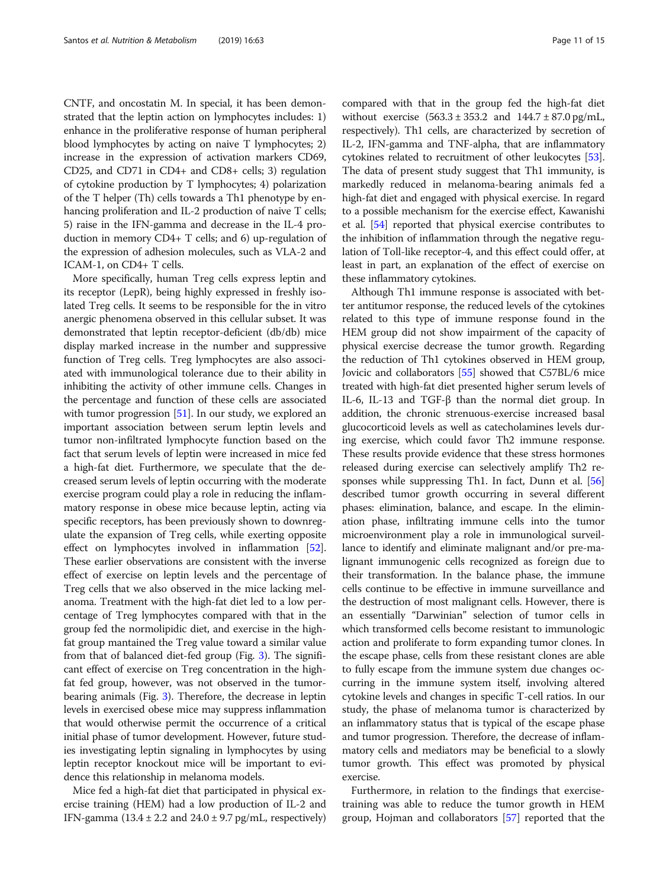CNTF, and oncostatin M. In special, it has been demonstrated that the leptin action on lymphocytes includes: 1) enhance in the proliferative response of human peripheral blood lymphocytes by acting on naive T lymphocytes; 2) increase in the expression of activation markers CD69, CD25, and CD71 in CD4+ and CD8+ cells; 3) regulation of cytokine production by T lymphocytes; 4) polarization of the T helper (Th) cells towards a Th1 phenotype by enhancing proliferation and IL-2 production of naive T cells; 5) raise in the IFN-gamma and decrease in the IL-4 production in memory CD4+ T cells; and 6) up-regulation of the expression of adhesion molecules, such as VLA-2 and ICAM-1, on CD4+ T cells.

More specifically, human Treg cells express leptin and its receptor (LepR), being highly expressed in freshly isolated Treg cells. It seems to be responsible for the in vitro anergic phenomena observed in this cellular subset. It was demonstrated that leptin receptor-deficient (db/db) mice display marked increase in the number and suppressive function of Treg cells. Treg lymphocytes are also associated with immunological tolerance due to their ability in inhibiting the activity of other immune cells. Changes in the percentage and function of these cells are associated with tumor progression [\[51\]](#page-14-0). In our study, we explored an important association between serum leptin levels and tumor non-infiltrated lymphocyte function based on the fact that serum levels of leptin were increased in mice fed a high-fat diet. Furthermore, we speculate that the decreased serum levels of leptin occurring with the moderate exercise program could play a role in reducing the inflammatory response in obese mice because leptin, acting via specific receptors, has been previously shown to downregulate the expansion of Treg cells, while exerting opposite effect on lymphocytes involved in inflammation [[52](#page-14-0)]. These earlier observations are consistent with the inverse effect of exercise on leptin levels and the percentage of Treg cells that we also observed in the mice lacking melanoma. Treatment with the high-fat diet led to a low percentage of Treg lymphocytes compared with that in the group fed the normolipidic diet, and exercise in the highfat group mantained the Treg value toward a similar value from that of balanced diet-fed group (Fig. [3](#page-7-0)). The significant effect of exercise on Treg concentration in the highfat fed group, however, was not observed in the tumorbearing animals (Fig. [3](#page-7-0)). Therefore, the decrease in leptin levels in exercised obese mice may suppress inflammation that would otherwise permit the occurrence of a critical initial phase of tumor development. However, future studies investigating leptin signaling in lymphocytes by using leptin receptor knockout mice will be important to evidence this relationship in melanoma models.

Mice fed a high-fat diet that participated in physical exercise training (HEM) had a low production of IL-2 and IFN-gamma (13.4 ± 2.2 and 24.0 ± 9.7 pg/mL, respectively) compared with that in the group fed the high-fat diet without exercise  $(563.3 \pm 353.2 \text{ and } 144.7 \pm 87.0 \text{ pg/mL}$ , respectively). Th1 cells, are characterized by secretion of IL-2, IFN-gamma and TNF-alpha, that are inflammatory cytokines related to recruitment of other leukocytes [[53](#page-14-0)]. The data of present study suggest that Th1 immunity, is markedly reduced in melanoma-bearing animals fed a high-fat diet and engaged with physical exercise. In regard to a possible mechanism for the exercise effect, Kawanishi et al. [[54](#page-14-0)] reported that physical exercise contributes to the inhibition of inflammation through the negative regulation of Toll-like receptor-4, and this effect could offer, at least in part, an explanation of the effect of exercise on these inflammatory cytokines.

Although Th1 immune response is associated with better antitumor response, the reduced levels of the cytokines related to this type of immune response found in the HEM group did not show impairment of the capacity of physical exercise decrease the tumor growth. Regarding the reduction of Th1 cytokines observed in HEM group, Jovicic and collaborators [\[55\]](#page-14-0) showed that C57BL/6 mice treated with high-fat diet presented higher serum levels of IL-6, IL-13 and TGF-β than the normal diet group. In addition, the chronic strenuous-exercise increased basal glucocorticoid levels as well as catecholamines levels during exercise, which could favor Th2 immune response. These results provide evidence that these stress hormones released during exercise can selectively amplify Th2 responses while suppressing Th1. In fact, Dunn et al. [[56](#page-14-0)] described tumor growth occurring in several different phases: elimination, balance, and escape. In the elimination phase, infiltrating immune cells into the tumor microenvironment play a role in immunological surveillance to identify and eliminate malignant and/or pre-malignant immunogenic cells recognized as foreign due to their transformation. In the balance phase, the immune cells continue to be effective in immune surveillance and the destruction of most malignant cells. However, there is an essentially "Darwinian" selection of tumor cells in which transformed cells become resistant to immunologic action and proliferate to form expanding tumor clones. In the escape phase, cells from these resistant clones are able to fully escape from the immune system due changes occurring in the immune system itself, involving altered cytokine levels and changes in specific T-cell ratios. In our study, the phase of melanoma tumor is characterized by an inflammatory status that is typical of the escape phase and tumor progression. Therefore, the decrease of inflammatory cells and mediators may be beneficial to a slowly tumor growth. This effect was promoted by physical exercise.

Furthermore, in relation to the findings that exercisetraining was able to reduce the tumor growth in HEM group, Hojman and collaborators [\[57](#page-14-0)] reported that the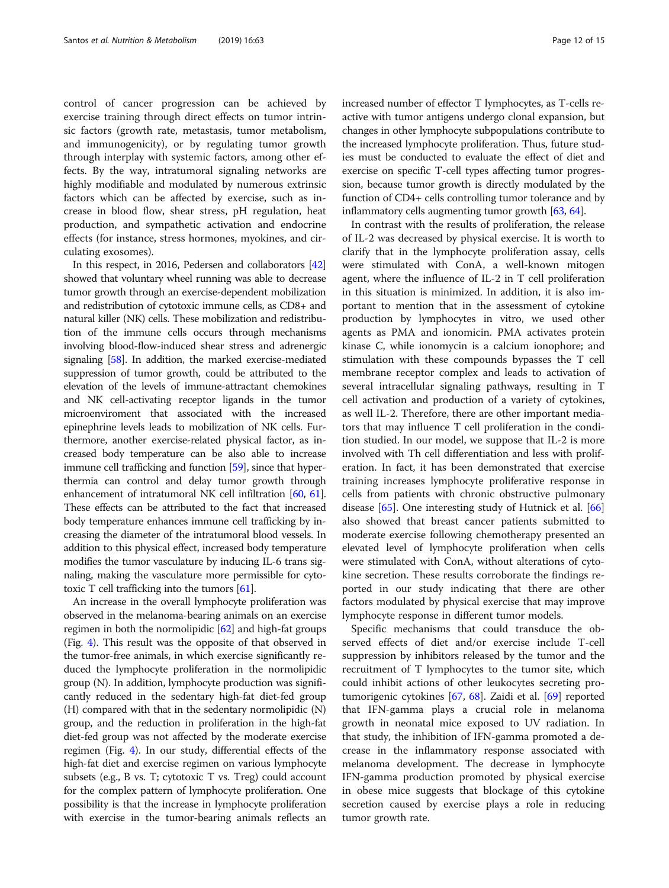control of cancer progression can be achieved by exercise training through direct effects on tumor intrinsic factors (growth rate, metastasis, tumor metabolism, and immunogenicity), or by regulating tumor growth through interplay with systemic factors, among other effects. By the way, intratumoral signaling networks are highly modifiable and modulated by numerous extrinsic factors which can be affected by exercise, such as increase in blood flow, shear stress, pH regulation, heat production, and sympathetic activation and endocrine effects (for instance, stress hormones, myokines, and circulating exosomes).

In this respect, in 2016, Pedersen and collaborators [\[42](#page-14-0)] showed that voluntary wheel running was able to decrease tumor growth through an exercise-dependent mobilization and redistribution of cytotoxic immune cells, as CD8+ and natural killer (NK) cells. These mobilization and redistribution of the immune cells occurs through mechanisms involving blood-flow-induced shear stress and adrenergic signaling [[58](#page-14-0)]. In addition, the marked exercise-mediated suppression of tumor growth, could be attributed to the elevation of the levels of immune-attractant chemokines and NK cell-activating receptor ligands in the tumor microenviroment that associated with the increased epinephrine levels leads to mobilization of NK cells. Furthermore, another exercise-related physical factor, as increased body temperature can be also able to increase immune cell trafficking and function [\[59](#page-14-0)], since that hyperthermia can control and delay tumor growth through enhancement of intratumoral NK cell infiltration [[60](#page-14-0), [61](#page-14-0)]. These effects can be attributed to the fact that increased body temperature enhances immune cell trafficking by increasing the diameter of the intratumoral blood vessels. In addition to this physical effect, increased body temperature modifies the tumor vasculature by inducing IL-6 trans signaling, making the vasculature more permissible for cytotoxic T cell trafficking into the tumors [[61](#page-14-0)].

An increase in the overall lymphocyte proliferation was observed in the melanoma-bearing animals on an exercise regimen in both the normolipidic [\[62\]](#page-14-0) and high-fat groups (Fig. [4\)](#page-8-0). This result was the opposite of that observed in the tumor-free animals, in which exercise significantly reduced the lymphocyte proliferation in the normolipidic group (N). In addition, lymphocyte production was significantly reduced in the sedentary high-fat diet-fed group (H) compared with that in the sedentary normolipidic (N) group, and the reduction in proliferation in the high-fat diet-fed group was not affected by the moderate exercise regimen (Fig. [4](#page-8-0)). In our study, differential effects of the high-fat diet and exercise regimen on various lymphocyte subsets (e.g., B vs. T; cytotoxic T vs. Treg) could account for the complex pattern of lymphocyte proliferation. One possibility is that the increase in lymphocyte proliferation with exercise in the tumor-bearing animals reflects an increased number of effector T lymphocytes, as T-cells reactive with tumor antigens undergo clonal expansion, but changes in other lymphocyte subpopulations contribute to the increased lymphocyte proliferation. Thus, future studies must be conducted to evaluate the effect of diet and exercise on specific T-cell types affecting tumor progression, because tumor growth is directly modulated by the function of CD4+ cells controlling tumor tolerance and by inflammatory cells augmenting tumor growth [[63](#page-14-0), [64\]](#page-14-0).

In contrast with the results of proliferation, the release of IL-2 was decreased by physical exercise. It is worth to clarify that in the lymphocyte proliferation assay, cells were stimulated with ConA, a well-known mitogen agent, where the influence of IL-2 in T cell proliferation in this situation is minimized. In addition, it is also important to mention that in the assessment of cytokine production by lymphocytes in vitro, we used other agents as PMA and ionomicin. PMA activates protein kinase C, while ionomycin is a calcium ionophore; and stimulation with these compounds bypasses the T cell membrane receptor complex and leads to activation of several intracellular signaling pathways, resulting in T cell activation and production of a variety of cytokines, as well IL-2. Therefore, there are other important mediators that may influence T cell proliferation in the condition studied. In our model, we suppose that IL-2 is more involved with Th cell differentiation and less with proliferation. In fact, it has been demonstrated that exercise training increases lymphocyte proliferative response in cells from patients with chronic obstructive pulmonary disease [[65\]](#page-14-0). One interesting study of Hutnick et al. [[66](#page-14-0)] also showed that breast cancer patients submitted to moderate exercise following chemotherapy presented an elevated level of lymphocyte proliferation when cells were stimulated with ConA, without alterations of cytokine secretion. These results corroborate the findings reported in our study indicating that there are other factors modulated by physical exercise that may improve lymphocyte response in different tumor models.

Specific mechanisms that could transduce the observed effects of diet and/or exercise include T-cell suppression by inhibitors released by the tumor and the recruitment of T lymphocytes to the tumor site, which could inhibit actions of other leukocytes secreting protumorigenic cytokines [\[67](#page-14-0), [68\]](#page-14-0). Zaidi et al. [\[69](#page-14-0)] reported that IFN-gamma plays a crucial role in melanoma growth in neonatal mice exposed to UV radiation. In that study, the inhibition of IFN-gamma promoted a decrease in the inflammatory response associated with melanoma development. The decrease in lymphocyte IFN-gamma production promoted by physical exercise in obese mice suggests that blockage of this cytokine secretion caused by exercise plays a role in reducing tumor growth rate.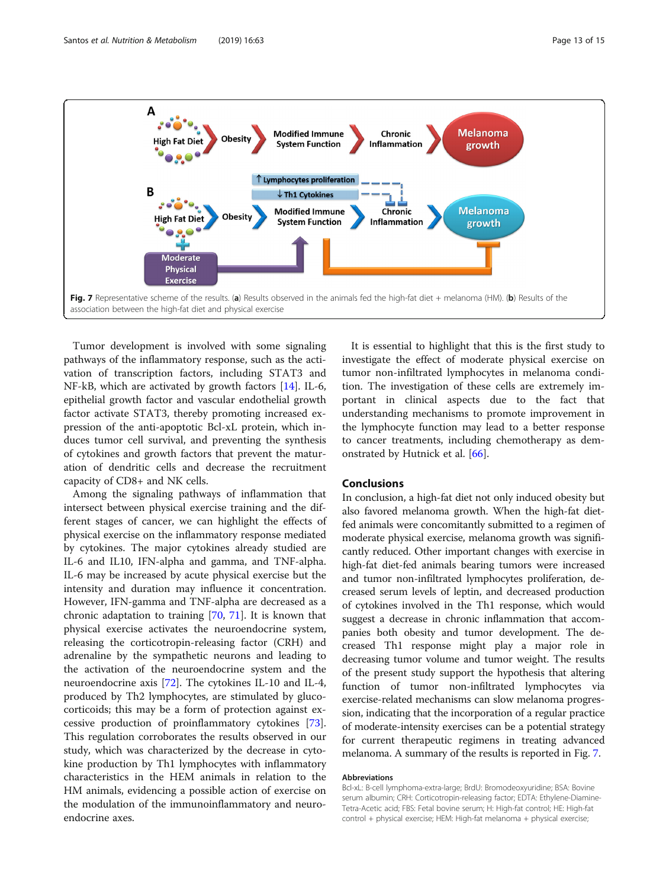![](_page_12_Figure_2.jpeg)

Tumor development is involved with some signaling pathways of the inflammatory response, such as the activation of transcription factors, including STAT3 and NF-kB, which are activated by growth factors [\[14](#page-13-0)]. IL-6, epithelial growth factor and vascular endothelial growth factor activate STAT3, thereby promoting increased expression of the anti-apoptotic Bcl-xL protein, which induces tumor cell survival, and preventing the synthesis of cytokines and growth factors that prevent the maturation of dendritic cells and decrease the recruitment capacity of CD8+ and NK cells.

Among the signaling pathways of inflammation that intersect between physical exercise training and the different stages of cancer, we can highlight the effects of physical exercise on the inflammatory response mediated by cytokines. The major cytokines already studied are IL-6 and IL10, IFN-alpha and gamma, and TNF-alpha. IL-6 may be increased by acute physical exercise but the intensity and duration may influence it concentration. However, IFN-gamma and TNF-alpha are decreased as a chronic adaptation to training [[70](#page-14-0), [71](#page-14-0)]. It is known that physical exercise activates the neuroendocrine system, releasing the corticotropin-releasing factor (CRH) and adrenaline by the sympathetic neurons and leading to the activation of the neuroendocrine system and the neuroendocrine axis [[72\]](#page-14-0). The cytokines IL-10 and IL-4, produced by Th2 lymphocytes, are stimulated by glucocorticoids; this may be a form of protection against excessive production of proinflammatory cytokines [\[73](#page-14-0)]. This regulation corroborates the results observed in our study, which was characterized by the decrease in cytokine production by Th1 lymphocytes with inflammatory characteristics in the HEM animals in relation to the HM animals, evidencing a possible action of exercise on the modulation of the immunoinflammatory and neuroendocrine axes.

It is essential to highlight that this is the first study to investigate the effect of moderate physical exercise on tumor non-infiltrated lymphocytes in melanoma condition. The investigation of these cells are extremely important in clinical aspects due to the fact that understanding mechanisms to promote improvement in the lymphocyte function may lead to a better response to cancer treatments, including chemotherapy as demonstrated by Hutnick et al. [\[66](#page-14-0)].

# Conclusions

In conclusion, a high-fat diet not only induced obesity but also favored melanoma growth. When the high-fat dietfed animals were concomitantly submitted to a regimen of moderate physical exercise, melanoma growth was significantly reduced. Other important changes with exercise in high-fat diet-fed animals bearing tumors were increased and tumor non-infiltrated lymphocytes proliferation, decreased serum levels of leptin, and decreased production of cytokines involved in the Th1 response, which would suggest a decrease in chronic inflammation that accompanies both obesity and tumor development. The decreased Th1 response might play a major role in decreasing tumor volume and tumor weight. The results of the present study support the hypothesis that altering function of tumor non-infiltrated lymphocytes via exercise-related mechanisms can slow melanoma progression, indicating that the incorporation of a regular practice of moderate-intensity exercises can be a potential strategy for current therapeutic regimens in treating advanced melanoma. A summary of the results is reported in Fig. 7.

#### Abbreviations

Bcl-xL: B-cell lymphoma-extra-large; BrdU: Bromodeoxyuridine; BSA: Bovine serum albumin; CRH: Corticotropin-releasing factor; EDTA: Ethylene-Diamine-Tetra-Acetic acid; FBS: Fetal bovine serum; H: High-fat control; HE: High-fat control + physical exercise; HEM: High-fat melanoma + physical exercise;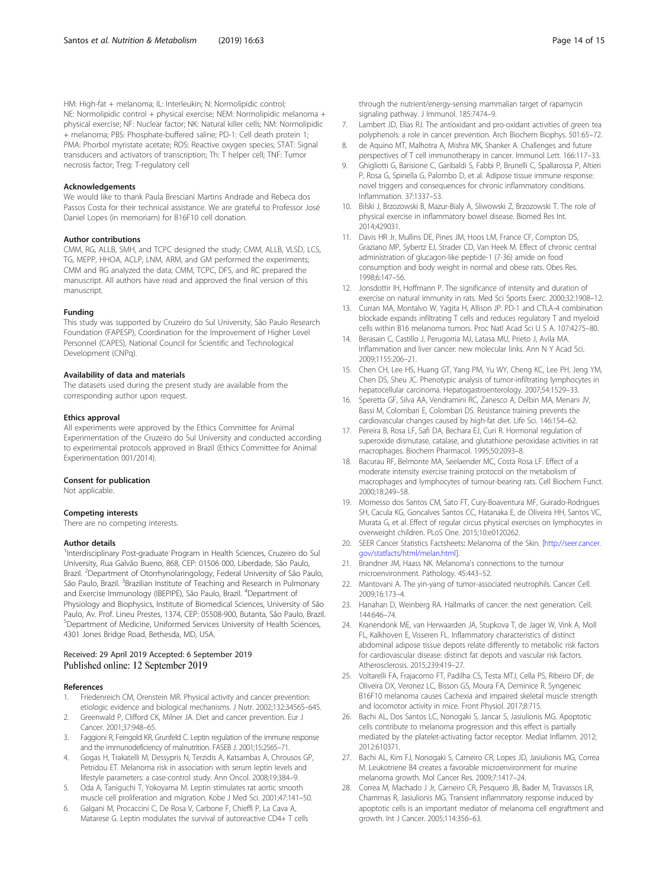<span id="page-13-0"></span>HM: High-fat + melanoma; IL: Interleukin; N: Normolipidic control; NE: Normolipidic control + physical exercise; NEM: Normolipidic melanoma + physical exercise; NF: Nuclear factor; NK: Natural killer cells; NM: Normolipidic + melanoma; PBS: Phosphate-buffered saline; PD-1: Cell death protein 1; PMA: Phorbol myristate acetate; ROS: Reactive oxygen species; STAT: Signal transducers and activators of transcription; Th: T helper cell; TNF: Tumor necrosis factor; Treg: T-regulatory cell

#### Acknowledgements

We would like to thank Paula Bresciani Martins Andrade and Rebeca dos Passos Costa for their technical assistance. We are grateful to Professor José Daniel Lopes (in memoriam) for B16F10 cell donation.

#### Author contributions

CMM, RG, ALLB, SMH, and TCPC designed the study; CMM, ALLB, VLSD, LCS, TG, MEPP, HHOA, ACLP, LNM, ARM, and GM performed the experiments; CMM and RG analyzed the data; CMM, TCPC, DFS, and RC prepared the manuscript. All authors have read and approved the final version of this manuscript.

# Funding

This study was supported by Cruzeiro do Sul University, São Paulo Research Foundation (FAPESP), Coordination for the Improvement of Higher Level Personnel (CAPES), National Council for Scientific and Technological Development (CNPq).

#### Availability of data and materials

The datasets used during the present study are available from the corresponding author upon request.

#### Ethics approval

All experiments were approved by the Ethics Committee for Animal Experimentation of the Cruzeiro do Sul University and conducted according to experimental protocols approved in Brazil (Ethics Committee for Animal Experimentation 001/2014).

#### Consent for publication

Not applicable.

# Competing interests

There are no competing interests.

#### Author details

<sup>1</sup>Interdisciplinary Post-graduate Program in Health Sciences, Cruzeiro do Sul University, Rua Galvão Bueno, 868, CEP: 01506 000, Liberdade, São Paulo, Brazil. <sup>2</sup>Department of Otorrhynolaringology, Federal University of São Paulo, São Paulo, Brazil. <sup>3</sup> Brazilian Institute of Teaching and Research in Pulmonary and Exercise Immunology (IBEPIPE), São Paulo, Brazil. <sup>4</sup>Department of Physiology and Biophysics, Institute of Biomedical Sciences, University of São Paulo, Av. Prof. Lineu Prestes, 1374, CEP: 05508-900, Butanta, São Paulo, Brazil. 5 Department of Medicine, Uniformed Services University of Health Sciences, 4301 Jones Bridge Road, Bethesda, MD, USA.

# Received: 29 April 2019 Accepted: 6 September 2019 Published online: 12 September 2019

#### References

- 1. Friedenreich CM, Orenstein MR. Physical activity and cancer prevention: etiologic evidence and biological mechanisms. J Nutr. 2002;132:3456S–64S.
- 2. Greenwald P, Clifford CK, Milner JA. Diet and cancer prevention. Eur J Cancer. 2001;37:948–65.
- 3. Faggioni R, Feingold KR, Grunfeld C. Leptin regulation of the immune response and the immunodeficiency of malnutrition. FASEB J. 2001;15:2565–71.
- 4. Gogas H, Trakatelli M, Dessypris N, Terzidis A, Katsambas A, Chrousos GP, Petridou ET. Melanoma risk in association with serum leptin levels and lifestyle parameters: a case-control study. Ann Oncol. 2008;19:384–9.
- 5. Oda A, Taniguchi T, Yokoyama M. Leptin stimulates rat aortic smooth muscle cell proliferation and migration. Kobe J Med Sci. 2001;47:141–50.
- 6. Galgani M, Procaccini C, De Rosa V, Carbone F, Chieffi P, La Cava A, Matarese G. Leptin modulates the survival of autoreactive CD4+ T cells

through the nutrient/energy-sensing mammalian target of rapamycin signaling pathway. J Immunol. 185:7474–9.

- 7. Lambert JD, Elias RJ. The antioxidant and pro-oxidant activities of green tea polyphenols: a role in cancer prevention. Arch Biochem Biophys. 501:65–72.
- 8. de Aquino MT, Malhotra A, Mishra MK, Shanker A. Challenges and future perspectives of T cell immunotherapy in cancer. Immunol Lett. 166:117–33.
- 9. Ghigliotti G, Barisione C, Garibaldi S, Fabbi P, Brunelli C, Spallarossa P, Altieri P, Rosa G, Spinella G, Palombo D, et al. Adipose tissue immune response: novel triggers and consequences for chronic inflammatory conditions. Inflammation. 37:1337–53.
- 10. Bilski J, Brzozowski B, Mazur-Bialy A, Sliwowski Z, Brzozowski T. The role of physical exercise in inflammatory bowel disease. Biomed Res Int. 2014;429031.
- 11. Davis HR Jr, Mullins DE, Pines JM, Hoos LM, France CF, Compton DS, Graziano MP, Sybertz EJ, Strader CD, Van Heek M. Effect of chronic central administration of glucagon-like peptide-1 (7-36) amide on food consumption and body weight in normal and obese rats. Obes Res. 1998;6:147–56.
- 12. Jonsdottir IH, Hoffmann P. The significance of intensity and duration of exercise on natural immunity in rats. Med Sci Sports Exerc. 2000;32:1908–12.
- 13. Curran MA, Montalvo W, Yagita H, Allison JP. PD-1 and CTLA-4 combination blockade expands infiltrating T cells and reduces regulatory T and myeloid cells within B16 melanoma tumors. Proc Natl Acad Sci U S A. 107:4275–80.
- 14. Berasain C, Castillo J, Perugorria MJ, Latasa MU, Prieto J, Avila MA. Inflammation and liver cancer: new molecular links. Ann N Y Acad Sci. 2009;1155:206–21.
- 15. Chen CH, Lee HS, Huang GT, Yang PM, Yu WY, Cheng KC, Lee PH, Jeng YM, Chen DS, Sheu JC. Phenotypic analysis of tumor-infiltrating lymphocytes in hepatocellular carcinoma. Hepatogastroenterology. 2007;54:1529–33.
- 16. Speretta GF, Silva AA, Vendramini RC, Zanesco A, Delbin MA, Menani JV, Bassi M, Colombari E, Colombari DS. Resistance training prevents the cardiovascular changes caused by high-fat diet. Life Sci. 146:154–62.
- 17. Pereira B, Rosa LF, Safi DA, Bechara EJ, Curi R. Hormonal regulation of superoxide dismutase, catalase, and glutathione peroxidase activities in rat macrophages. Biochem Pharmacol. 1995;50:2093–8.
- 18. Bacurau RF, Belmonte MA, Seelaender MC, Costa Rosa LF. Effect of a moderate intensity exercise training protocol on the metabolism of macrophages and lymphocytes of tumour-bearing rats. Cell Biochem Funct. 2000;18:249–58.
- 19. Momesso dos Santos CM, Sato FT, Cury-Boaventura MF, Guirado-Rodrigues SH, Cacula KG, Goncalves Santos CC, Hatanaka E, de Oliveira HH, Santos VC, Murata G, et al. Effect of regular circus physical exercises on lymphocytes in overweight children. PLoS One. 2015;10:e0120262.
- 20. SEER Cancer Statistics Factsheets: Melanoma of the Skin. [[http://seer.cancer.](http://seer.cancer.gov/statfacts/html/melan.html) [gov/statfacts/html/melan.html](http://seer.cancer.gov/statfacts/html/melan.html)].
- 21. Brandner JM, Haass NK. Melanoma's connections to the tumour microenvironment. Pathology. 45:443–52.
- 22. Mantovani A. The yin-yang of tumor-associated neutrophils. Cancer Cell. 2009;16:173–4.
- 23. Hanahan D, Weinberg RA. Hallmarks of cancer: the next generation. Cell. 144:646–74.
- 24. Kranendonk ME, van Herwaarden JA, Stupkova T, de Jager W, Vink A, Moll FL, Kalkhoven E, Visseren FL. Inflammatory characteristics of distinct abdominal adipose tissue depots relate differently to metabolic risk factors for cardiovascular disease: distinct fat depots and vascular risk factors. Atherosclerosis. 2015;239:419–27.
- 25. Voltarelli FA, Frajacomo FT, Padilha CS, Testa MTJ, Cella PS, Ribeiro DF, de Oliveira DX, Veronez LC, Bisson GS, Moura FA, Deminice R. Syngeneic B16F10 melanoma causes Cachexia and impaired skeletal muscle strength and locomotor activity in mice. Front Physiol. 2017;8:715.
- 26. Bachi AL, Dos Santos LC, Nonogaki S, Jancar S, Jasiulionis MG. Apoptotic cells contribute to melanoma progression and this effect is partially mediated by the platelet-activating factor receptor. Mediat Inflamm. 2012; 2012:610371.
- 27. Bachi AL, Kim FJ, Nonogaki S, Carneiro CR, Lopes JD, Jasiulionis MG, Correa M. Leukotriene B4 creates a favorable microenvironment for murine melanoma growth. Mol Cancer Res. 2009;7:1417–24.
- 28. Correa M, Machado J Jr, Carneiro CR, Pesquero JB, Bader M, Travassos LR, Chammas R, Jasiulionis MG. Transient inflammatory response induced by apoptotic cells is an important mediator of melanoma cell engraftment and growth. Int J Cancer. 2005;114:356–63.